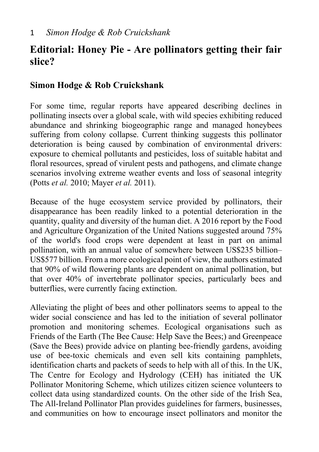# **Editorial: Honey Pie - Are pollinators getting their fair slice?**

## **Simon Hodge & Rob Cruickshank**

For some time, regular reports have appeared describing declines in pollinating insects over a global scale, with wild species exhibiting reduced abundance and shrinking biogeographic range and managed honeybees suffering from colony collapse. Current thinking suggests this pollinator deterioration is being caused by combination of environmental drivers: exposure to chemical pollutants and pesticides, loss of suitable habitat and floral resources, spread of virulent pests and pathogens, and climate change scenarios involving extreme weather events and loss of seasonal integrity (Potts *et al.* 2010; Mayer *et al.* 2011).

Because of the huge ecosystem service provided by pollinators, their disappearance has been readily linked to a potential deterioration in the quantity, quality and diversity of the human diet. A 2016 report by the Food and Agriculture Organization of the United Nations suggested around 75% of the world's food crops were dependent at least in part on animal pollination, with an annual value of somewhere between US\$235 billion– US\$577 billion. From a more ecological point of view, the authors estimated that 90% of wild flowering plants are dependent on animal pollination, but that over 40% of invertebrate pollinator species, particularly bees and butterflies, were currently facing extinction.

Alleviating the plight of bees and other pollinators seems to appeal to the wider social conscience and has led to the initiation of several pollinator promotion and monitoring schemes. Ecological organisations such as Friends of the Earth (The Bee Cause: Help Save the Bees;) and Greenpeace (Save the Bees) provide advice on planting bee-friendly gardens, avoiding use of bee-toxic chemicals and even sell kits containing pamphlets, identification charts and packets of seeds to help with all of this. In the UK, The Centre for Ecology and Hydrology (CEH) has initiated the UK Pollinator Monitoring Scheme, which utilizes citizen science volunteers to collect data using standardized counts. On the other side of the Irish Sea, The All-Ireland Pollinator Plan provides guidelines for farmers, businesses, and communities on how to encourage insect pollinators and monitor the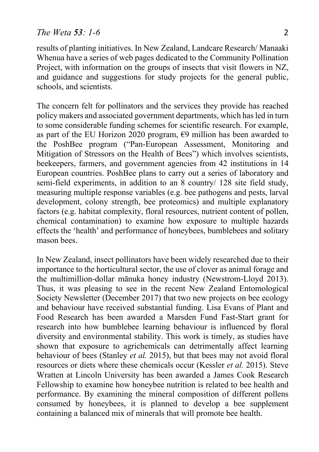## *The Weta 53: 1-6* 2

results of planting initiatives. In New Zealand, Landcare Research/ Manaaki Whenua have a series of web pages dedicated to the Community Pollination Project, with information on the groups of insects that visit flowers in NZ, and guidance and suggestions for study projects for the general public, schools, and scientists.

The concern felt for pollinators and the services they provide has reached policy makers and associated government departments, which has led in turn to some considerable funding schemes for scientific research. For example, as part of the EU Horizon 2020 program,  $\epsilon$ 9 million has been awarded to the PoshBee program ("Pan-European Assessment, Monitoring and Mitigation of Stressors on the Health of Bees") which involves scientists, beekeepers, farmers, and government agencies from 42 institutions in 14 European countries. PoshBee plans to carry out a series of laboratory and semi-field experiments, in addition to an 8 country/ 128 site field study, measuring multiple response variables (e.g. bee pathogens and pests, larval development, colony strength, bee proteomics) and multiple explanatory factors (e.g. habitat complexity, floral resources, nutrient content of pollen, chemical contamination) to examine how exposure to multiple hazards effects the 'health' and performance of honeybees, bumblebees and solitary mason bees.

In New Zealand, insect pollinators have been widely researched due to their importance to the horticultural sector, the use of clover as animal forage and the multimillion-dollar mānuka honey industry (Newstrom-Lloyd 2013). Thus, it was pleasing to see in the recent New Zealand Entomological Society Newsletter (December 2017) that two new projects on bee ecology and behaviour have received substantial funding. Lisa Evans of Plant and Food Research has been awarded a Marsden Fund Fast-Start grant for research into how bumblebee learning behaviour is influenced by floral diversity and environmental stability. This work is timely, as studies have shown that exposure to agrichemicals can detrimentally affect learning behaviour of bees (Stanley *et al.* 2015), but that bees may not avoid floral resources or diets where these chemicals occur (Kessler *et al.* 2015). Steve Wratten at Lincoln University has been awarded a James Cook Research Fellowship to examine how honeybee nutrition is related to bee health and performance. By examining the mineral composition of different pollens consumed by honeybees, it is planned to develop a bee supplement containing a balanced mix of minerals that will promote bee health.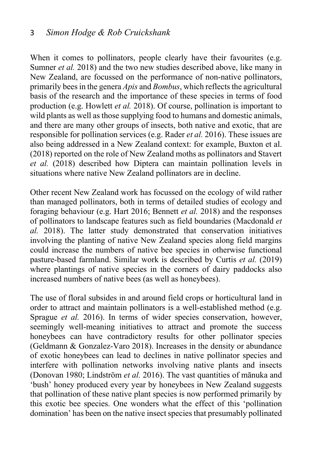When it comes to pollinators, people clearly have their favourites (e.g. Sumner *et al.* 2018) and the two new studies described above, like many in New Zealand, are focussed on the performance of non-native pollinators, primarily bees in the genera *Apis* and *Bombus*, which reflects the agricultural basis of the research and the importance of these species in terms of food production (e.g. Howlett *et al.* 2018). Of course, pollination is important to wild plants as well as those supplying food to humans and domestic animals, and there are many other groups of insects, both native and exotic, that are responsible for pollination services (e.g. Rader *et al.* 2016). These issues are also being addressed in a New Zealand context: for example, Buxton et al. (2018) reported on the role of New Zealand moths as pollinators and Stavert *et al.* (2018) described how Diptera can maintain pollination levels in situations where native New Zealand pollinators are in decline.

Other recent New Zealand work has focussed on the ecology of wild rather than managed pollinators, both in terms of detailed studies of ecology and foraging behaviour (e.g. Hart 2016; Bennett *et al.* 2018) and the responses of pollinators to landscape features such as field boundaries (Macdonald *et al.* 2018). The latter study demonstrated that conservation initiatives involving the planting of native New Zealand species along field margins could increase the numbers of native bee species in otherwise functional pasture-based farmland. Similar work is described by Curtis *et al.* (2019) where plantings of native species in the corners of dairy paddocks also increased numbers of native bees (as well as honeybees).

The use of floral subsides in and around field crops or horticultural land in order to attract and maintain pollinators is a well-established method (e.g. Sprague *et al.* 2016). In terms of wider species conservation, however, seemingly well-meaning initiatives to attract and promote the success honeybees can have contradictory results for other pollinator species (Geldmann & Gonzalez-Varo 2018). Increases in the density or abundance of exotic honeybees can lead to declines in native pollinator species and interfere with pollination networks involving native plants and insects (Donovan 1980; Lindström *et al.* 2016). The vast quantities of mānuka and 'bush' honey produced every year by honeybees in New Zealand suggests that pollination of these native plant species is now performed primarily by this exotic bee species. One wonders what the effect of this 'pollination domination' has been on the native insect species that presumably pollinated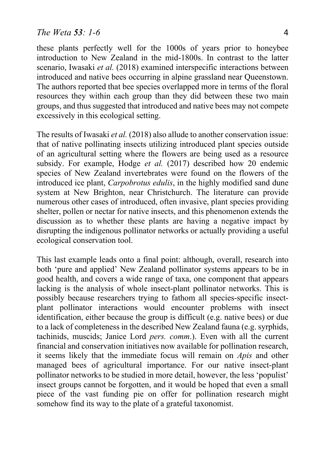## *The Weta 53: 1-6* 4

these plants perfectly well for the 1000s of years prior to honeybee introduction to New Zealand in the mid-1800s. In contrast to the latter scenario, Iwasaki *et al.* (2018) examined interspecific interactions between introduced and native bees occurring in alpine grassland near Queenstown. The authors reported that bee species overlapped more in terms of the floral resources they within each group than they did between these two main groups, and thus suggested that introduced and native bees may not compete excessively in this ecological setting.

The results of Iwasaki *et al.* (2018) also allude to another conservation issue: that of native pollinating insects utilizing introduced plant species outside of an agricultural setting where the flowers are being used as a resource subsidy. For example, Hodge *et al.* (2017) described how 20 endemic species of New Zealand invertebrates were found on the flowers of the introduced ice plant, *Carpobrotus edulis*, in the highly modified sand dune system at New Brighton, near Christchurch. The literature can provide numerous other cases of introduced, often invasive, plant species providing shelter, pollen or nectar for native insects, and this phenomenon extends the discussion as to whether these plants are having a negative impact by disrupting the indigenous pollinator networks or actually providing a useful ecological conservation tool.

This last example leads onto a final point: although, overall, research into both 'pure and applied' New Zealand pollinator systems appears to be in good health, and covers a wide range of taxa, one component that appears lacking is the analysis of whole insect-plant pollinator networks. This is possibly because researchers trying to fathom all species-specific insectplant pollinator interactions would encounter problems with insect identification, either because the group is difficult (e.g. native bees) or due to a lack of completeness in the described New Zealand fauna (e.g. syrphids, tachinids, muscids; Janice Lord *pers. comm*.). Even with all the current financial and conservation initiatives now available for pollination research, it seems likely that the immediate focus will remain on *Apis* and other managed bees of agricultural importance. For our native insect-plant pollinator networks to be studied in more detail, however, the less 'populist' insect groups cannot be forgotten, and it would be hoped that even a small piece of the vast funding pie on offer for pollination research might somehow find its way to the plate of a grateful taxonomist.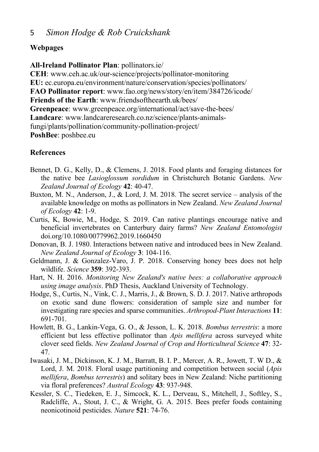## **Webpages**

## **All-Ireland Pollinator Plan**: pollinators.ie/

**CEH**: www.ceh.ac.uk/our-science/projects/pollinator-monitoring **EU:** ec.europa.eu/environment/nature/conservation/species/pollinators/ **FAO Pollinator report**: www.fao.org/news/story/en/item/384726/icode/ **Friends of the Earth**: www.friendsoftheearth.uk/bees/ **Greenpeace**: www.greenpeace.org/international/act/save-the-bees/ **Landcare**: www.landcareresearch.co.nz/science/plants-animalsfungi/plants/pollination/community-pollination-project/ **PoshBee**: poshbee.eu

## **References**

- Bennet, D. G., Kelly, D., & Clemens, J. 2018. Food plants and foraging distances for the native bee *Lasioglossum sordidum* in Christchurch Botanic Gardens. *New Zealand Journal of Ecology* **42**: 40-47.
- Buxton, M. N., Anderson, J., & Lord, J. M. 2018. The secret service analysis of the available knowledge on moths as pollinators in New Zealand. *New Zealand Journal of Ecology* **42**: 1-9.
- Curtis, K, Bowie, M., Hodge, S*.* 2019. Can native plantings encourage native and beneficial invertebrates on Canterbury dairy farms? *New Zealand Entomologist* doi.org/10.1080/00779962.2019.1660450
- Donovan, B. J. 1980. Interactions between native and introduced bees in New Zealand. *New Zealand Journal of Ecology* **3**: 104-116.
- Geldmann, J. & Gonzalez-Varo, J. P. 2018. Conserving honey bees does not help wildlife. *Science* **359**: 392-393.
- Hart, N. H. 2016. *Monitoring New Zealand's native bees: a collaborative approach using image analysis*. PhD Thesis, Auckland University of Technology.
- Hodge, S., Curtis, N., Vink, C. J., Marris, J., & Brown, S. D. J. 2017. Native arthropods on exotic sand dune flowers: consideration of sample size and number for investigating rare species and sparse communities. *Arthropod-Plant Interactions* **11**: 691-701.
- Howlett, B. G., Lankin-Vega, G. O., & Jesson, L. K. 2018. *Bombus terrestris*: a more efficient but less effective pollinator than *Apis mellifera* across surveyed white clover seed fields. *New Zealand Journal of Crop and Horticultural Science* **47**: 32- 47.
- Iwasaki, J. M., Dickinson, K. J. M., Barratt, B. I. P., Mercer, A. R., Jowett, T. W D., & Lord, J. M. 2018. Floral usage partitioning and competition between social (*Apis mellifera*, *Bombus terrestris*) and solitary bees in New Zealand: Niche partitioning via floral preferences? *Austral Ecology* **43**: 937-948.
- Kessler, S. C., Tiedeken, E. J., Simcock, K. L., Derveau, S., Mitchell, J., Softley, S., Radcliffe, A., Stout, J. C., & Wright, G. A. 2015. Bees prefer foods containing neonicotinoid pesticides. *Nature* **521**: 74-76.